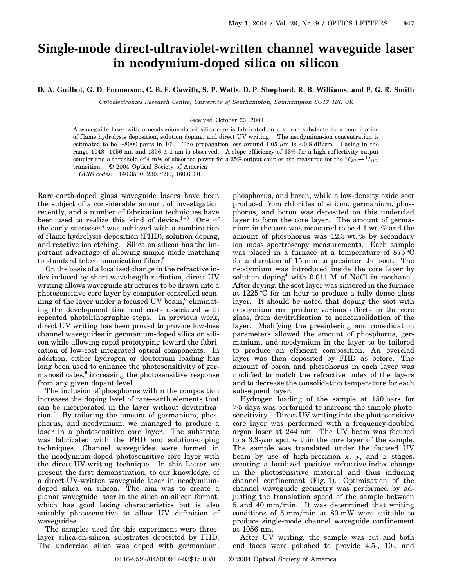## **Single-mode direct-ultraviolet-written channel waveguide laser in neodymium-doped silica on silicon**

## **D. A. Guilhot, G. D. Emmerson, C. B. E. Gawith, S. P. Watts, D. P. Shepherd, R. B. Williams, and P. G. R. Smith**

*Optoelectronics Research Centre, University of Southampton, Southampton SO17 1BJ, UK*

## Received October 23, 2003

A waveguide laser with a neodymium-doped silica core is fabricated on a silicon substrate by a combination of f lame hydrolysis deposition, solution doping, and direct UV writing. The neodymium-ion concentration is estimated to be  $\sim 8000$  parts in 10<sup>6</sup>. The propagation loss around 1.05  $\mu$ m is  $\lt 0.8$  dB/cm. Lasing in the range 1048–1056 nm and 1356  $\pm$  1 nm is observed. A slope efficiency of 33% for a high-reflectivity output coupler and a threshold of 4 mW of absorbed power for a 25% output coupler are measured for the  $^4F_{3/2} \to {^4I_{11/2}}$ transition. © 2004 Optical Society of America

*OCIS codes:* 140.3530, 230.7390, 160.6030.

Rare-earth-doped glass waveguide lasers have been the subject of a considerable amount of investigation recently, and a number of fabrication techniques have been used to realize this kind of device.<sup>1–3</sup> One of the early successes $4$  was achieved with a combination of flame hydrolysis deposition (FHD), solution doping, and reactive ion etching. Silica on silicon has the important advantage of allowing simple mode matching to standard telecommunication fiber.<sup>5</sup>

On the basis of a localized change in the refractive index induced by short-wavelength radiation, direct UV writing allows waveguide structures to be drawn into a photosensitive core layer by computer-controlled scanning of the layer under a focused UV beam, $6$  eliminating the development time and costs associated with repeated photolithographic steps. In previous work, direct UV writing has been proved to provide low-loss channel waveguides in germanium-doped silica on silicon while allowing rapid prototyping toward the fabrication of low-cost integrated optical components. In addition, either hydrogen or deuterium loading has long been used to enhance the photosensitivity of germanosilicates, $6$  increasing the photosensitive response from any given dopant level.

The inclusion of phosphorus within the composition increases the doping level of rare-earth elements that can be incorporated in the layer without devitrification.7 By tailoring the amount of germanium, phosphorus, and neodymium, we managed to produce a laser in a photosensitive core layer. The substrate was fabricated with the FHD and solution-doping techniques. Channel waveguides were formed in the neodymium-doped photosensitive core layer with the direct-UV-writing technique. In this Letter we present the first demonstration, to our knowledge, of a direct-UV-written waveguide laser in neodymiumdoped silica on silicon. The aim was to create a planar waveguide laser in the silica-on-silicon format, which has good lasing characteristics but is also suitably photosensitive to allow UV definition of waveguides.

The samples used for this experiment were threelayer silica-on-silicon substrates deposited by FHD. The underclad silica was doped with germanium,

phosphorus, and boron, while a low-density oxide soot produced from chlorides of silicon, germanium, phosphorus, and boron was deposited on this underclad layer to form the core layer. The amount of germanium in the core was measured to be 4.1 wt. % and the amount of phosphorus was 12.3 wt. % by secondary ion mass spectroscopy measurements. Each sample was placed in a furnace at a temperature of  $875 \text{ °C}$ for a duration of 15 min to presinter the soot. The neodymium was introduced inside the core layer by solution doping<sup>4</sup> with 0.011 M of NdCl in methanol. After drying, the soot layer was sintered in the furnace at  $1225 \text{°C}$  for an hour to produce a fully dense glass layer. It should be noted that doping the soot with neodymium can produce various effects in the core glass, from devitrification to nonconsolidation of the layer. Modifying the presintering and consolidation parameters allowed the amount of phosphorus, germanium, and neodymium in the layer to be tailored to produce an efficient composition. An overclad layer was then deposited by FHD as before. The amount of boron and phosphorus in each layer was modified to match the refractive index of the layers and to decrease the consolidation temperature for each subsequent layer.

Hydrogen loading of the sample at 150 bars for  $>5$  days was performed to increase the sample photosensitivity. Direct UV writing into the photosensitive core layer was performed with a frequency-doubled argon laser at 244 nm. The UV beam was focused to a 3.3- $\mu$ m spot within the core layer of the sample. The sample was translated under the focused UV beam by use of high-precision *x*, *y*, and *z* stages, creating a localized positive refractive-index change in the photosensitive material and thus inducing channel confinement (Fig. 1). Optimization of the channel waveguide geometry was performed by adjusting the translation speed of the sample between 5 and 40 mm/min. It was determined that writing conditions of  $5 \text{ mm/min}$  at  $80 \text{ mW}$  were suitable to produce single-mode channel waveguide confinement at 1056 nm.

After UV writing, the sample was cut and both end faces were polished to provide 4.5-, 10-, and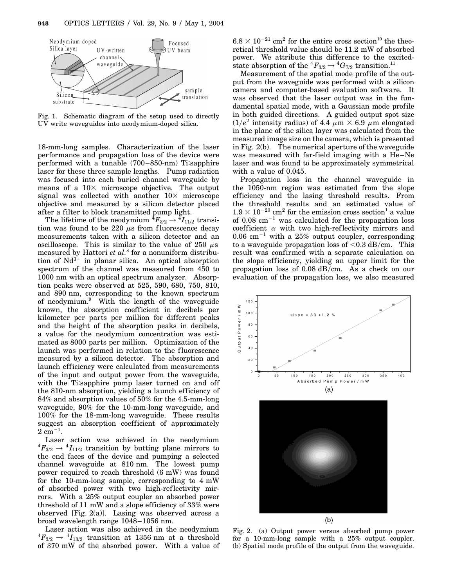

Fig. 1. Schematic diagram of the setup used to directly UV write waveguides into neodymium-doped silica.

18-mm-long samples. Characterization of the laser performance and propagation loss of the device were performed with a tunable (700–850-nm) Ti:sapphire laser for these three sample lengths. Pump radiation was focused into each buried channel waveguide by means of a  $10\times$  microscope objective. The output signal was collected with another  $10\times$  microscope objective and measured by a silicon detector placed after a filter to block transmitted pump light.

The lifetime of the neodymium  ${}^4F_{3/2} \rightarrow {}^4I_{11/2}$  transition was found to be 220  $\mu$ s from fluorescence decay measurements taken with a silicon detector and an oscilloscope. This is similar to the value of 250  $\mu$ s measured by Hattori *et al.*<sup>8</sup> for a nonuniform distribution of  $Nd^{3+}$  in planar silica. An optical absorption spectrum of the channel was measured from 450 to 1000 nm with an optical spectrum analyzer. Absorption peaks were observed at 525, 590, 680, 750, 810, and 890 nm, corresponding to the known spectrum of neodymium.<sup>9</sup> With the length of the waveguide known, the absorption coefficient in decibels per kilometer per parts per million for different peaks and the height of the absorption peaks in decibels, a value for the neodymium concentration was estimated as 8000 parts per million. Optimization of the launch was performed in relation to the fluorescence measured by a silicon detector. The absorption and launch efficiency were calculated from measurements of the input and output power from the waveguide, with the Ti:sapphire pump laser turned on and off the 810-nm absorption, yielding a launch efficiency of 84% and absorption values of 50% for the 4.5-mm-long waveguide, 90% for the 10-mm-long waveguide, and 100% for the 18-mm-long waveguide. These results suggest an absorption coefficient of approximately  $2 \text{ cm}^{-1}$ .

Laser action was achieved in the neodymium  ${}^4F_{3/2} \rightarrow {}^4I_{11/2}$  transition by butting plane mirrors to the end faces of the device and pumping a selected channel waveguide at 810 nm. The lowest pump power required to reach threshold (6 mW) was found for the 10-mm-long sample, corresponding to 4 mW of absorbed power with two high-ref lectivity mirrors. With a 25% output coupler an absorbed power threshold of 11 mW and a slope efficiency of 33% were observed [Fig. 2(a)]. Lasing was observed across a broad wavelength range 1048–1056 nm.

Laser action was also achieved in the neodymium  ${}^4F_{3/2} \rightarrow {}^4I_{13/2}$  transition at 1356 nm at a threshold of 370 mW of the absorbed power. With a value of

 $6.8 \times 10^{-21}$  cm<sup>2</sup> for the entire cross section<sup>10</sup> the theoretical threshold value should be 11.2 mW of absorbed power. We attribute this difference to the excitedstate absorption of the  ${}^4F_{3/2} \rightarrow {}^4G_{7/2}$  transition.<sup>11</sup>

Measurement of the spatial mode profile of the output from the waveguide was performed with a silicon camera and computer-based evaluation software. It was observed that the laser output was in the fundamental spatial mode, with a Gaussian mode profile in both guided directions. A guided output spot size  $(1/e^2$  intensity radius) of 4.4  $\mu$ m  $\times$  6.9  $\mu$ m elongated in the plane of the silica layer was calculated from the measured image size on the camera, which is presented in Fig. 2(b). The numerical aperture of the waveguide was measured with far-field imaging with a He–Ne laser and was found to be approximately symmetrical with a value of 0.045.

Propagation loss in the channel waveguide in the 1050-nm region was estimated from the slope efficiency and the lasing threshold results. From the threshold results and an estimated value of  $1.9 \times 10^{-20}$  cm<sup>2</sup> for the emission cross section<sup>1</sup> a value of 0.08  $\text{cm}^{-1}$  was calculated for the propagation loss coefficient  $\alpha$  with two high-reflectivity mirrors and  $0.06$  cm<sup>-1</sup> with a 25% output coupler, corresponding to a waveguide propagation loss of  $<$  0.3 dB/cm. This result was confirmed with a separate calculation on the slope efficiency, yielding an upper limit for the propagation loss of  $0.08$  dB/cm. As a check on our evaluation of the propagation loss, we also measured



Fig. 2. (a) Output power versus absorbed pump power for a 10-mm-long sample with a 25% output coupler. (b) Spatial mode profile of the output from the waveguide.

 $(b)$